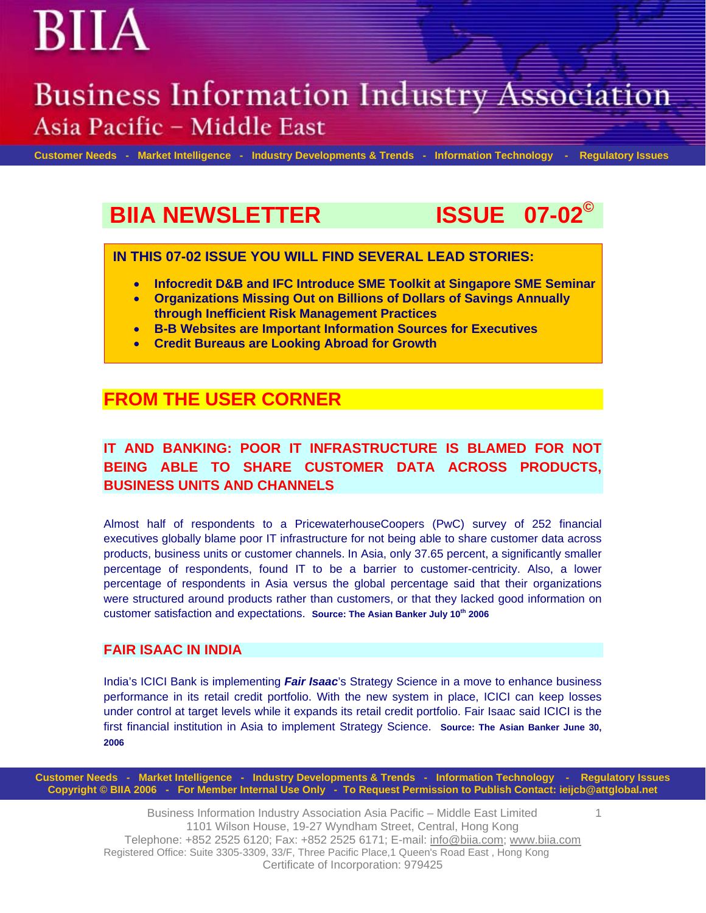## **Business Information Industry Association** Asia Pacific - Middle East

 **Customer Needs - Market Intelligence - Industry Developments & Trends - Information Technology - Regulatory Issues**

1

## **BIIA NEWSLETTER ISSUE 07-02©**

**IN THIS 07-02 ISSUE YOU WILL FIND SEVERAL LEAD STORIES:** 

- **Infocredit D&B and IFC Introduce SME Toolkit at Singapore SME Seminar**
- **Organizations Missing Out on Billions of Dollars of Savings Annually through Inefficient Risk Management Practices**
- **B-B Websites are Important Information Sources for Executives**
- **Credit Bureaus are Looking Abroad for Growth**

## **FROM THE USER CORNER**

### **IT AND BANKING: POOR IT INFRASTRUCTURE IS BLAMED FOR NOT BEING ABLE TO SHARE CUSTOMER DATA ACROSS PRODUCTS, BUSINESS UNITS AND CHANNELS**

Almost half of respondents to a PricewaterhouseCoopers (PwC) survey of 252 financial executives globally blame poor IT infrastructure for not being able to share customer data across products, business units or customer channels. In Asia, only 37.65 percent, a significantly smaller percentage of respondents, found IT to be a barrier to customer-centricity. Also, a lower percentage of respondents in Asia versus the global percentage said that their organizations were structured around products rather than customers, or that they lacked good information on customer satisfaction and expectations. **Source: The Asian Banker July 10th 2006** 

### **FAIR ISAAC IN INDIA**

India's ICICI Bank is implementing *Fair Isaac*'s Strategy Science in a move to enhance business performance in its retail credit portfolio. With the new system in place, ICICI can keep losses under control at target levels while it expands its retail credit portfolio. Fair Isaac said ICICI is the first financial institution in Asia to implement Strategy Science. **Source: The Asian Banker June 30, 2006** 

**Customer Needs - Market Intelligence - Industry Developments & Trends - Information Technology - Regulatory Issues Copyright © BIIA 2006 - For Member Internal Use Only - To Request Permission to Publish Contact: ieijcb@attglobal.net** 

> Business Information Industry Association Asia Pacific – Middle East Limited 1101 Wilson House, 19-27 Wyndham Street, Central, Hong Kong Telephone: +852 2525 6120; Fax: +852 2525 6171; E-mail: info@biia.com ; www.biia.com Registered Office: Suite 3305-3309, 33/F, Three Pacific Place,1 Queen's Road East , Hong Kong Certificate of Incorporation: 979425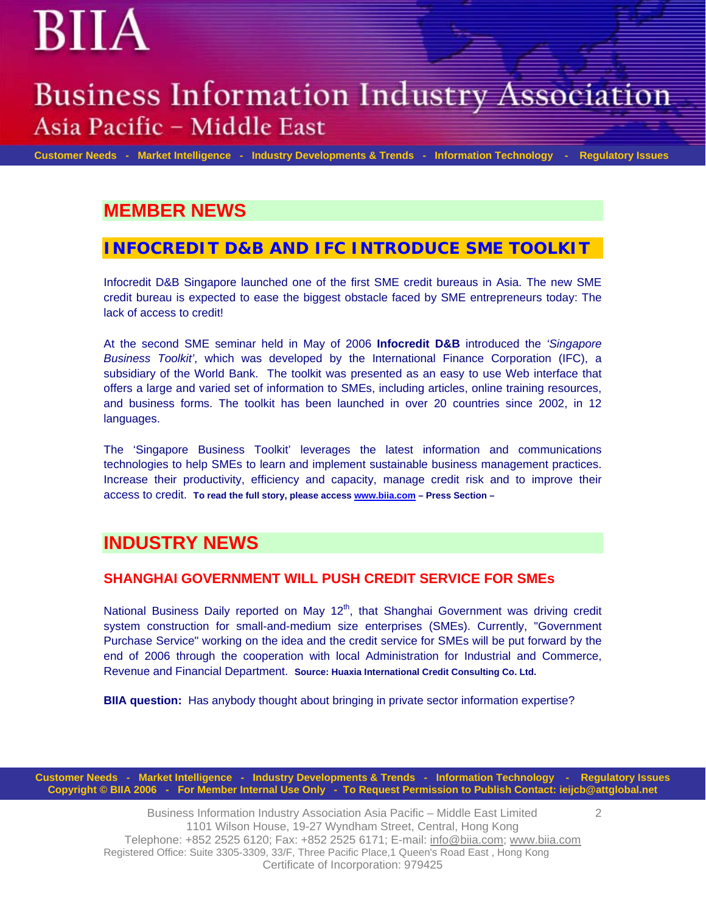## **Business Information Industry Association** Asia Pacific - Middle East

BIIA

 **Customer Needs - Market Intelligence - Industry Developments & Trends - Information Technology - Regulatory Issues**

 $\mathfrak{D}$ 

## **MEMBER NEWS**

### **INFOCREDIT D&B AND IFC INTRODUCE SME TOOLKIT**

Infocredit D&B Singapore launched one of the first SME credit bureaus in Asia. The new SME credit bureau is expected to ease the biggest obstacle faced by SME entrepreneurs today: The lack of access to credit!

At the second SME seminar held in May of 2006 **Infocredit D&B** introduced the *'Singapore Business Toolkit'*, which was developed by the International Finance Corporation (IFC), a subsidiary of the World Bank. The toolkit was presented as an easy to use Web interface that offers a large and varied set of information to SMEs, including articles, online training resources, and business forms. The toolkit has been launched in over 20 countries since 2002, in 12 languages.

The 'Singapore Business Toolkit' leverages the latest information and communications technologies to help SMEs to learn and implement sustainable business management practices. Increase their productivity, efficiency and capacity, manage credit risk and to improve their access to credit. **To read the full story, please access [www.biia.com](http://www.biia.com/) – Press Section –** 

## **INDUSTRY NEWS**

#### **SHANGHAI GOVERNMENT WILL PUSH CREDIT SERVICE FOR SMEs**

National Business Daily reported on May 12<sup>th</sup>, that Shanghai Government was driving credit system construction for small-and-medium size enterprises (SMEs). Currently, "Government Purchase Service" working on the idea and the credit service for SMEs will be put forward by the end of 2006 through the cooperation with local Administration for Industrial and Commerce, Revenue and Financial Department. **Source: Huaxia International Credit Consulting Co. Ltd.**

**BIIA question:** Has anybody thought about bringing in private sector information expertise?

**Customer Needs - Market Intelligence - Industry Developments & Trends - Information Technology - Regulatory Issues Copyright © BIIA 2006 - For Member Internal Use Only - To Request Permission to Publish Contact: ieijcb@attglobal.net** 

> Business Information Industry Association Asia Pacific – Middle East Limited 1101 Wilson House, 19-27 Wyndham Street, Central, Hong Kong Telephone: +852 2525 6120; Fax: +852 2525 6171; E-mail: info@biia.com; www.biia.com Registered Office: Suite 3305-3309, 33/F, Three Pacific Place,1 Queen's Road East , Hong Kong Certificate of Incorporation: 979425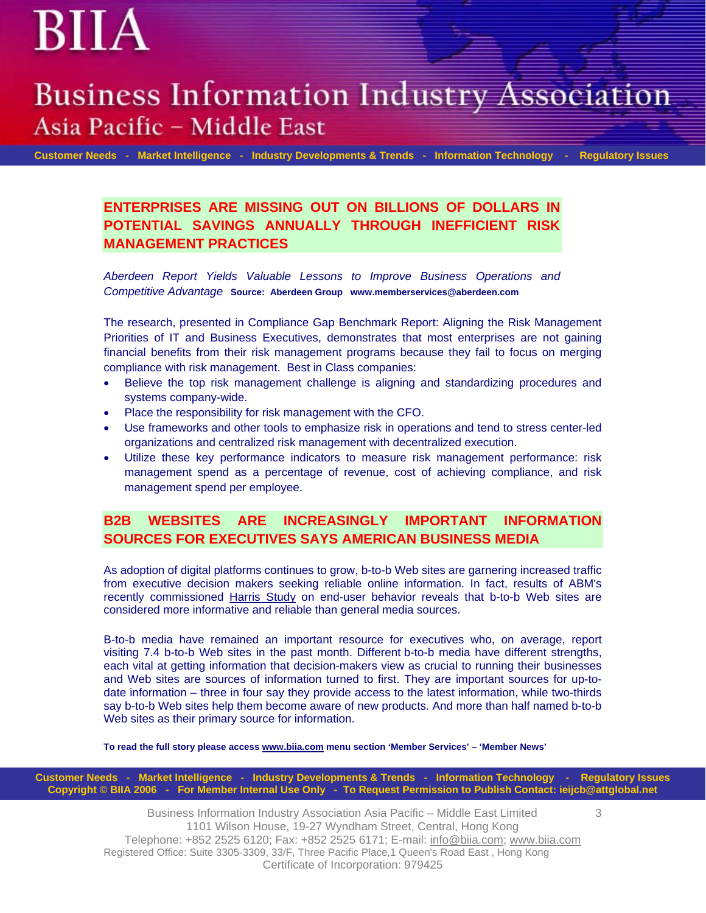## **Business Information Industry Association** Asia Pacific - Middle East

 **Customer Needs - Market Intelligence - Industry Developments & Trends - Information Technology - Regulatory Issues**

**ENTERPRISES ARE MISSING OUT ON BILLIONS OF DOLLARS IN POTENTIAL SAVINGS ANNUALLY THROUGH INEFFICIENT RISK MANAGEMENT PRACTICES** 

*Aberdeen Report Yields Valuable Lessons to Improve Business Operations and Competitive Advantage* **Source: Aberdeen Group www.memberservices@aberdeen.com** 

The research, presented in Compliance Gap Benchmark Report: Aligning the Risk Management Priorities of IT and Business Executives, demonstrates that most enterprises are not gaining financial benefits from their risk management programs because they fail to focus on merging compliance with risk management. Best in Class companies:

- Believe the top risk management challenge is aligning and standardizing procedures and systems company-wide.
- Place the responsibility for risk management with the CFO.
- Use frameworks and other tools to emphasize risk in operations and tend to stress center-led organizations and centralized risk management with decentralized execution.
- Utilize these key performance indicators to measure risk management performance: risk management spend as a percentage of revenue, cost of achieving compliance, and risk management spend per employee.

### **B2B WEBSITES ARE INCREASINGLY IMPORTANT INFORMATION SOURCES FOR EXECUTIVES SAYS AMERICAN BUSINESS MEDIA**

As adoption of digital platforms continues to grow, b-to-b Web sites are garnering increased traffic from executive decision makers seeking reliable online information. In fact, results of ABM's recently commissioned [Harris Study](http://www.americanbusinessmedia.com/abm/Harris_Study.asp) on end-user behavior reveals that b-to-b Web sites are considered more informative and reliable than general media sources.

B-to-b media have remained an important resource for executives who, on average, report visiting 7.4 b-to-b Web sites in the past month. Different b-to-b media have different strengths, each vital at getting information that decision-makers view as crucial to running their businesses and Web sites are sources of information turned to first. They are important sources for up-todate information – three in four say they provide access to the latest information, while two-thirds say b-to-b Web sites help them become aware of new products. And more than half named b-to-b Web sites as their primary source for information.

**To read the full story please access [www.biia.com](http://www.biia.com/) menu section 'Member Services' – 'Member News'** 

**Customer Needs - Market Intelligence - Industry Developments & Trends - Information Technology - Regulatory Issues Copyright © BIIA 2006 - For Member Internal Use Only - To Request Permission to Publish Contact: ieijcb@attglobal.net** 

> Business Information Industry Association Asia Pacific – Middle East Limited 1101 Wilson House, 19-27 Wyndham Street, Central, Hong Kong Telephone: +852 2525 6120; Fax: +852 2525 6171; E-mail: info@biia.com; www.biia.com Registered Office: Suite 3305-3309, 33/F, Three Pacific Place,1 Queen's Road East , Hong Kong Certificate of Incorporation: 979425

3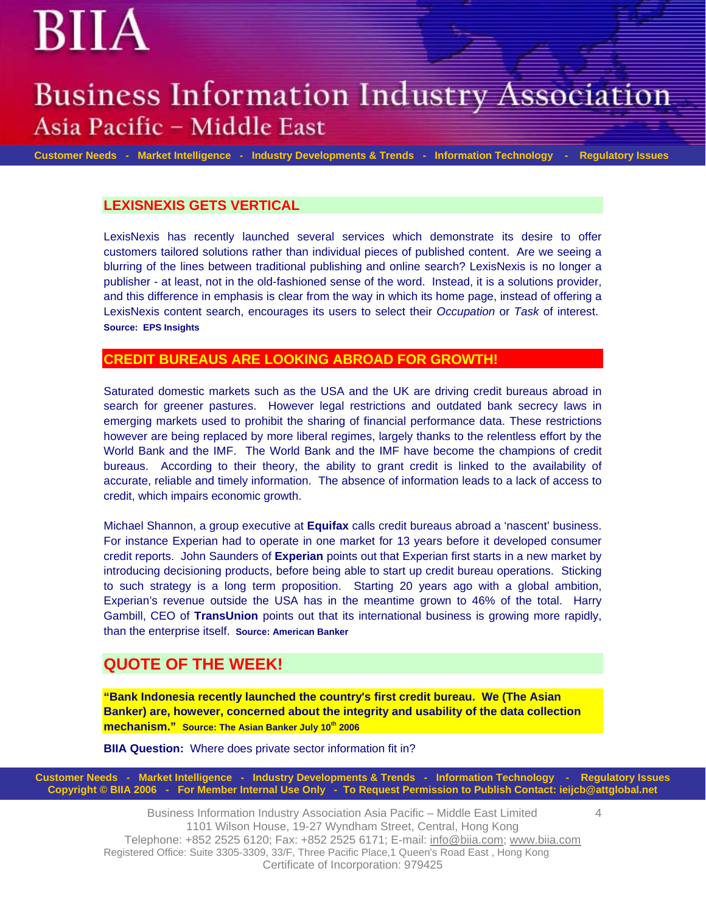## **Business Information Industry Association** Asia Pacific - Middle East

 **Customer Needs - Market Intelligence - Industry Developments & Trends - Information Technology - Regulatory Issues**

#### **LEXISNEXIS GETS VERTICAL**

LexisNexis has recently launched several services which demonstrate its desire to offer customers tailored solutions rather than individual pieces of published content. Are we seeing a blurring of the lines between traditional publishing and online search? LexisNexis is no longer a publisher - at least, not in the old-fashioned sense of the word. Instead, it is a solutions provider, and this difference in emphasis is clear from the way in which its home page, instead of offering a LexisNexis content search, encourages its users to select their *Occupation* or *Task* of interest. **Source: EPS Insights** 

#### **CREDIT BUREAUS ARE LOOKING ABROAD FOR GROWTH!**

Saturated domestic markets such as the USA and the UK are driving credit bureaus abroad in search for greener pastures. However legal restrictions and outdated bank secrecy laws in emerging markets used to prohibit the sharing of financial performance data. These restrictions however are being replaced by more liberal regimes, largely thanks to the relentless effort by the World Bank and the IMF. The World Bank and the IMF have become the champions of credit bureaus. According to their theory, the ability to grant credit is linked to the availability of accurate, reliable and timely information. The absence of information leads to a lack of access to credit, which impairs economic growth.

Michael Shannon, a group executive at **Equifax** calls credit bureaus abroad a 'nascent' business. For instance Experian had to operate in one market for 13 years before it developed consumer credit reports. John Saunders of **Experian** points out that Experian first starts in a new market by introducing decisioning products, before being able to start up credit bureau operations. Sticking to such strategy is a long term proposition. Starting 20 years ago with a global ambition, Experian's revenue outside the USA has in the meantime grown to 46% of the total. Harry Gambill, CEO of **TransUnion** points out that its international business is growing more rapidly, than the enterprise itself. **Source: American Banker**

### **QUOTE OF THE WEEK!**

**"Bank Indonesia recently launched the country's first credit bureau. We (The Asian Banker) are, however, concerned about the integrity and usability of the data collection mechanism."** Source: The Asian Banker July 10<sup>th</sup> 2006

**BIIA Question:** Where does private sector information fit in?

**Customer Needs - Market Intelligence - Industry Developments & Trends - Information Technology - Regulatory Issues Copyright © BIIA 2006 - For Member Internal Use Only - To Request Permission to Publish Contact: ieijcb@attglobal.net** 

> Business Information Industry Association Asia Pacific – Middle East Limited 1101 Wilson House, 19-27 Wyndham Street, Central, Hong Kong Telephone: +852 2525 6120; Fax: +852 2525 6171; E-mail: info@biia.com; www.biia.com Registered Office: Suite 3305-3309, 33/F, Three Pacific Place,1 Queen's Road East , Hong Kong Certificate of Incorporation: 979425

4